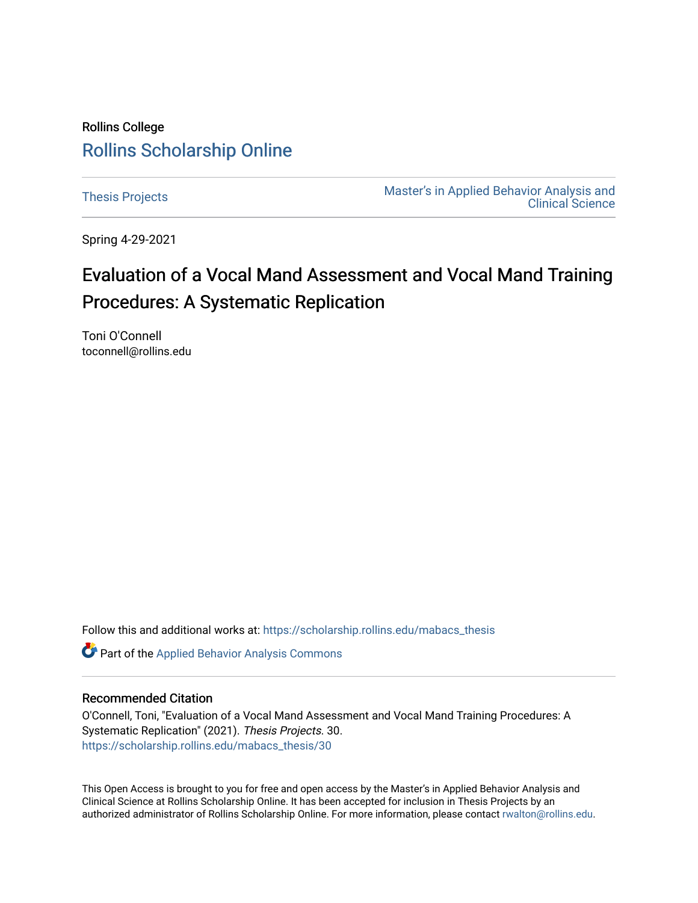## Rollins College [Rollins Scholarship Online](https://scholarship.rollins.edu/)

[Thesis Projects](https://scholarship.rollins.edu/mabacs_thesis) **Master's in Applied Behavior Analysis and** Master's in Applied Behavior Analysis and [Clinical Science](https://scholarship.rollins.edu/mabacs) 

Spring 4-29-2021

# Evaluation of a Vocal Mand Assessment and Vocal Mand Training Procedures: A Systematic Replication

Toni O'Connell toconnell@rollins.edu

Follow this and additional works at: [https://scholarship.rollins.edu/mabacs\\_thesis](https://scholarship.rollins.edu/mabacs_thesis?utm_source=scholarship.rollins.edu%2Fmabacs_thesis%2F30&utm_medium=PDF&utm_campaign=PDFCoverPages) 

Part of the [Applied Behavior Analysis Commons](http://network.bepress.com/hgg/discipline/1235?utm_source=scholarship.rollins.edu%2Fmabacs_thesis%2F30&utm_medium=PDF&utm_campaign=PDFCoverPages)

#### Recommended Citation

O'Connell, Toni, "Evaluation of a Vocal Mand Assessment and Vocal Mand Training Procedures: A Systematic Replication" (2021). Thesis Projects. 30. [https://scholarship.rollins.edu/mabacs\\_thesis/30](https://scholarship.rollins.edu/mabacs_thesis/30?utm_source=scholarship.rollins.edu%2Fmabacs_thesis%2F30&utm_medium=PDF&utm_campaign=PDFCoverPages) 

This Open Access is brought to you for free and open access by the Master's in Applied Behavior Analysis and Clinical Science at Rollins Scholarship Online. It has been accepted for inclusion in Thesis Projects by an authorized administrator of Rollins Scholarship Online. For more information, please contact [rwalton@rollins.edu](mailto:rwalton@rollins.edu).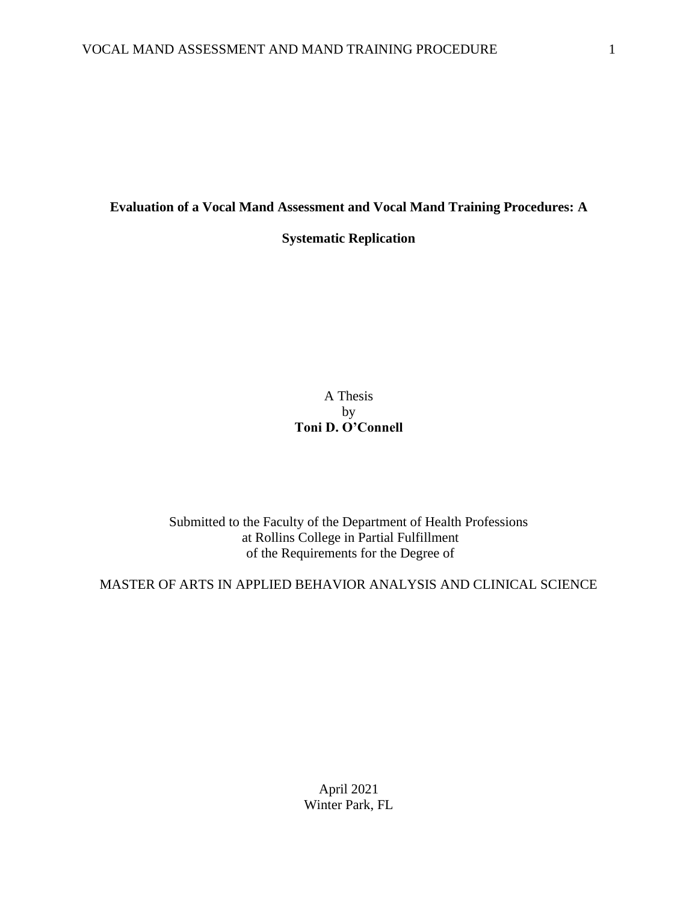#### **Evaluation of a Vocal Mand Assessment and Vocal Mand Training Procedures: A**

**Systematic Replication**

A Thesis by **Toni D. O'Connell**

Submitted to the Faculty of the Department of Health Professions at Rollins College in Partial Fulfillment of the Requirements for the Degree of

MASTER OF ARTS IN APPLIED BEHAVIOR ANALYSIS AND CLINICAL SCIENCE

April 2021 Winter Park, FL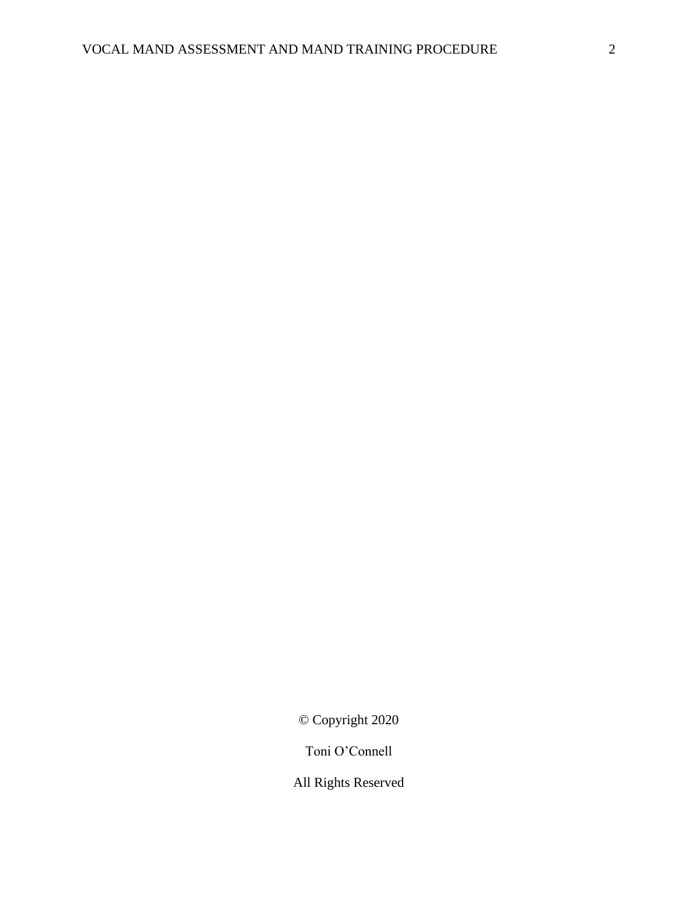© Copyright 2020

Toni O'Connell

All Rights Reserved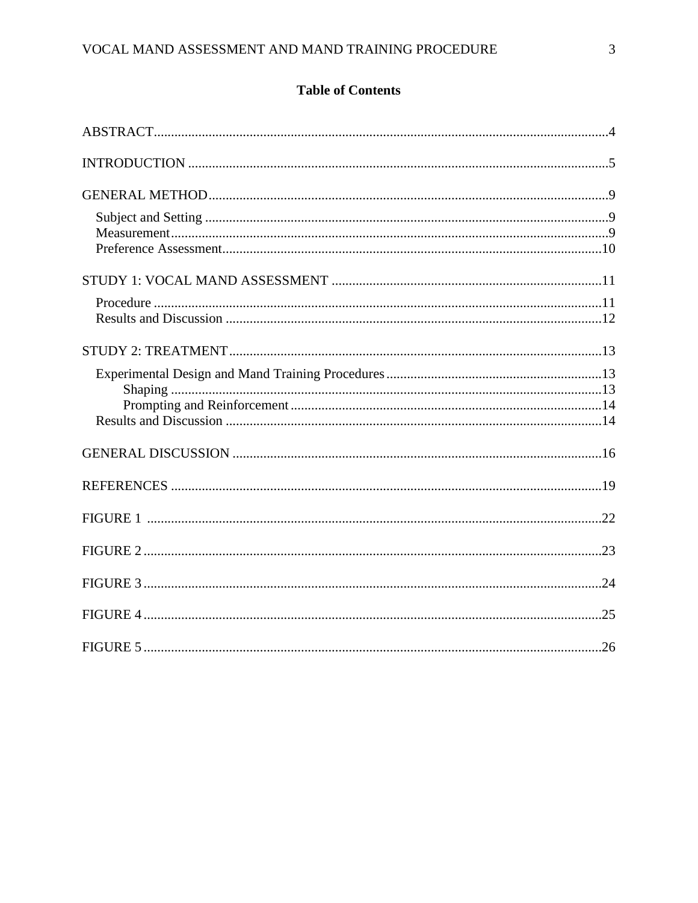### **Table of Contents**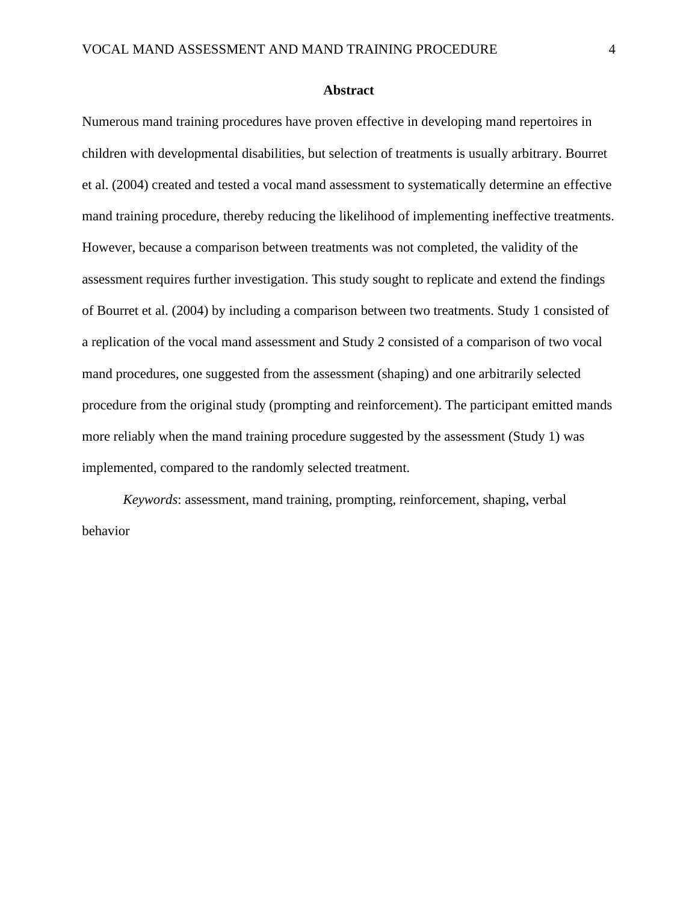#### **Abstract**

Numerous mand training procedures have proven effective in developing mand repertoires in children with developmental disabilities, but selection of treatments is usually arbitrary. Bourret et al. (2004) created and tested a vocal mand assessment to systematically determine an effective mand training procedure, thereby reducing the likelihood of implementing ineffective treatments. However, because a comparison between treatments was not completed, the validity of the assessment requires further investigation. This study sought to replicate and extend the findings of Bourret et al. (2004) by including a comparison between two treatments. Study 1 consisted of a replication of the vocal mand assessment and Study 2 consisted of a comparison of two vocal mand procedures, one suggested from the assessment (shaping) and one arbitrarily selected procedure from the original study (prompting and reinforcement). The participant emitted mands more reliably when the mand training procedure suggested by the assessment (Study 1) was implemented, compared to the randomly selected treatment.

*Keywords*: assessment, mand training, prompting, reinforcement, shaping, verbal behavior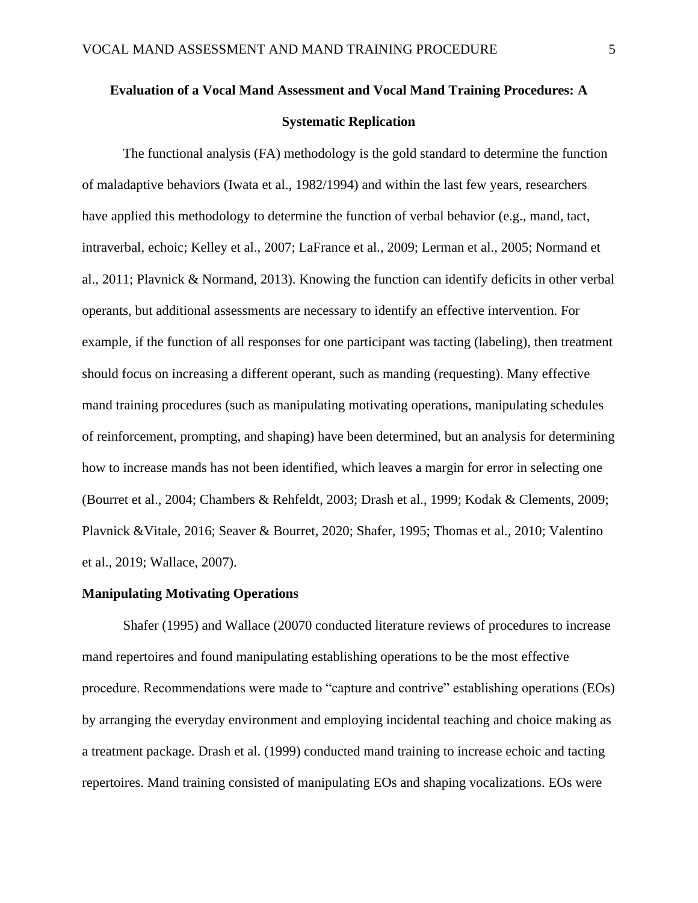# **Evaluation of a Vocal Mand Assessment and Vocal Mand Training Procedures: A Systematic Replication**

The functional analysis (FA) methodology is the gold standard to determine the function of maladaptive behaviors (Iwata et al., 1982/1994) and within the last few years, researchers have applied this methodology to determine the function of verbal behavior (e.g., mand, tact, intraverbal, echoic; Kelley et al., 2007; LaFrance et al., 2009; Lerman et al., 2005; Normand et al., 2011; Plavnick & Normand, 2013). Knowing the function can identify deficits in other verbal operants, but additional assessments are necessary to identify an effective intervention. For example, if the function of all responses for one participant was tacting (labeling), then treatment should focus on increasing a different operant, such as manding (requesting). Many effective mand training procedures (such as manipulating motivating operations, manipulating schedules of reinforcement, prompting, and shaping) have been determined, but an analysis for determining how to increase mands has not been identified, which leaves a margin for error in selecting one (Bourret et al., 2004; Chambers & Rehfeldt, 2003; Drash et al., 1999; Kodak & Clements, 2009; Plavnick &Vitale, 2016; Seaver & Bourret, 2020; Shafer, 1995; Thomas et al., 2010; Valentino et al., 2019; Wallace, 2007).

#### **Manipulating Motivating Operations**

Shafer (1995) and Wallace (20070 conducted literature reviews of procedures to increase mand repertoires and found manipulating establishing operations to be the most effective procedure. Recommendations were made to "capture and contrive" establishing operations (EOs) by arranging the everyday environment and employing incidental teaching and choice making as a treatment package. Drash et al. (1999) conducted mand training to increase echoic and tacting repertoires. Mand training consisted of manipulating EOs and shaping vocalizations. EOs were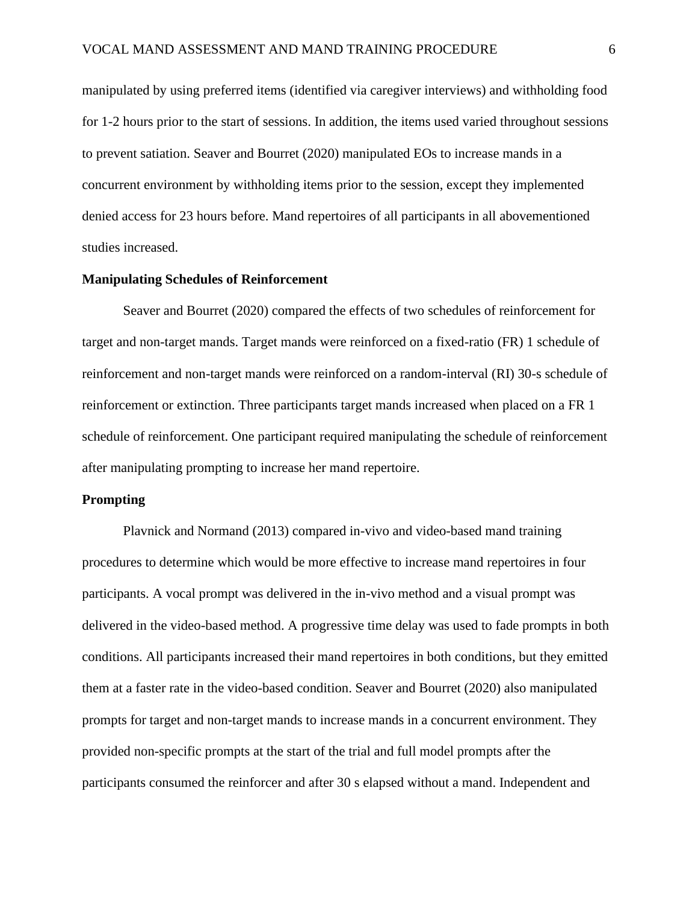manipulated by using preferred items (identified via caregiver interviews) and withholding food for 1-2 hours prior to the start of sessions. In addition, the items used varied throughout sessions to prevent satiation. Seaver and Bourret (2020) manipulated EOs to increase mands in a concurrent environment by withholding items prior to the session, except they implemented denied access for 23 hours before. Mand repertoires of all participants in all abovementioned studies increased.

#### **Manipulating Schedules of Reinforcement**

Seaver and Bourret (2020) compared the effects of two schedules of reinforcement for target and non-target mands. Target mands were reinforced on a fixed-ratio (FR) 1 schedule of reinforcement and non-target mands were reinforced on a random-interval (RI) 30-s schedule of reinforcement or extinction. Three participants target mands increased when placed on a FR 1 schedule of reinforcement. One participant required manipulating the schedule of reinforcement after manipulating prompting to increase her mand repertoire.

#### **Prompting**

Plavnick and Normand (2013) compared in-vivo and video-based mand training procedures to determine which would be more effective to increase mand repertoires in four participants. A vocal prompt was delivered in the in-vivo method and a visual prompt was delivered in the video-based method. A progressive time delay was used to fade prompts in both conditions. All participants increased their mand repertoires in both conditions, but they emitted them at a faster rate in the video-based condition. Seaver and Bourret (2020) also manipulated prompts for target and non-target mands to increase mands in a concurrent environment. They provided non-specific prompts at the start of the trial and full model prompts after the participants consumed the reinforcer and after 30 s elapsed without a mand. Independent and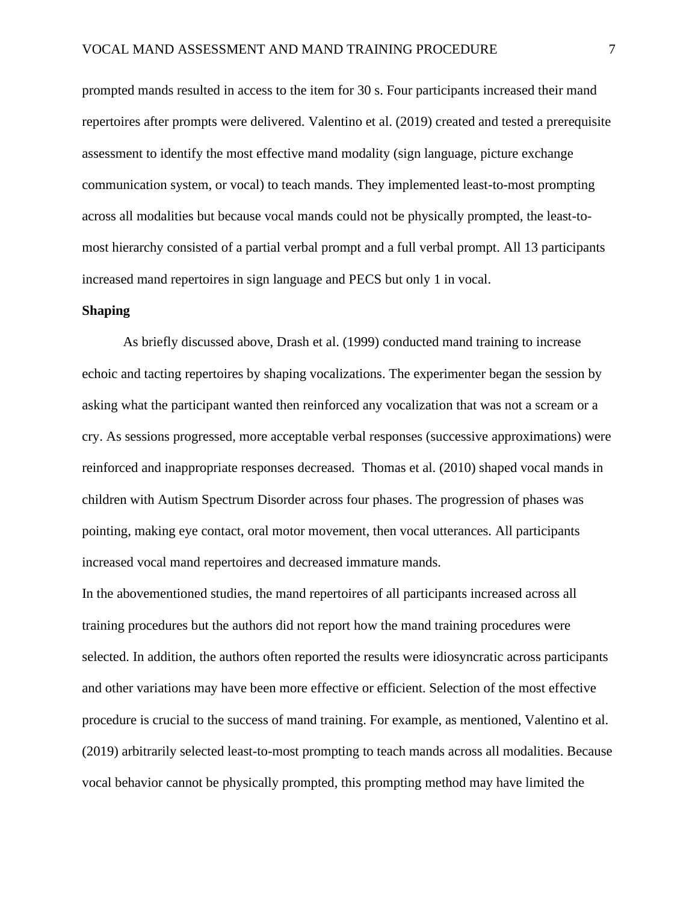prompted mands resulted in access to the item for 30 s. Four participants increased their mand repertoires after prompts were delivered. Valentino et al. (2019) created and tested a prerequisite assessment to identify the most effective mand modality (sign language, picture exchange communication system, or vocal) to teach mands. They implemented least-to-most prompting across all modalities but because vocal mands could not be physically prompted, the least-tomost hierarchy consisted of a partial verbal prompt and a full verbal prompt. All 13 participants increased mand repertoires in sign language and PECS but only 1 in vocal.

#### **Shaping**

As briefly discussed above, Drash et al. (1999) conducted mand training to increase echoic and tacting repertoires by shaping vocalizations. The experimenter began the session by asking what the participant wanted then reinforced any vocalization that was not a scream or a cry. As sessions progressed, more acceptable verbal responses (successive approximations) were reinforced and inappropriate responses decreased. Thomas et al. (2010) shaped vocal mands in children with Autism Spectrum Disorder across four phases. The progression of phases was pointing, making eye contact, oral motor movement, then vocal utterances. All participants increased vocal mand repertoires and decreased immature mands.

In the abovementioned studies, the mand repertoires of all participants increased across all training procedures but the authors did not report how the mand training procedures were selected. In addition, the authors often reported the results were idiosyncratic across participants and other variations may have been more effective or efficient. Selection of the most effective procedure is crucial to the success of mand training. For example, as mentioned, Valentino et al. (2019) arbitrarily selected least-to-most prompting to teach mands across all modalities. Because vocal behavior cannot be physically prompted, this prompting method may have limited the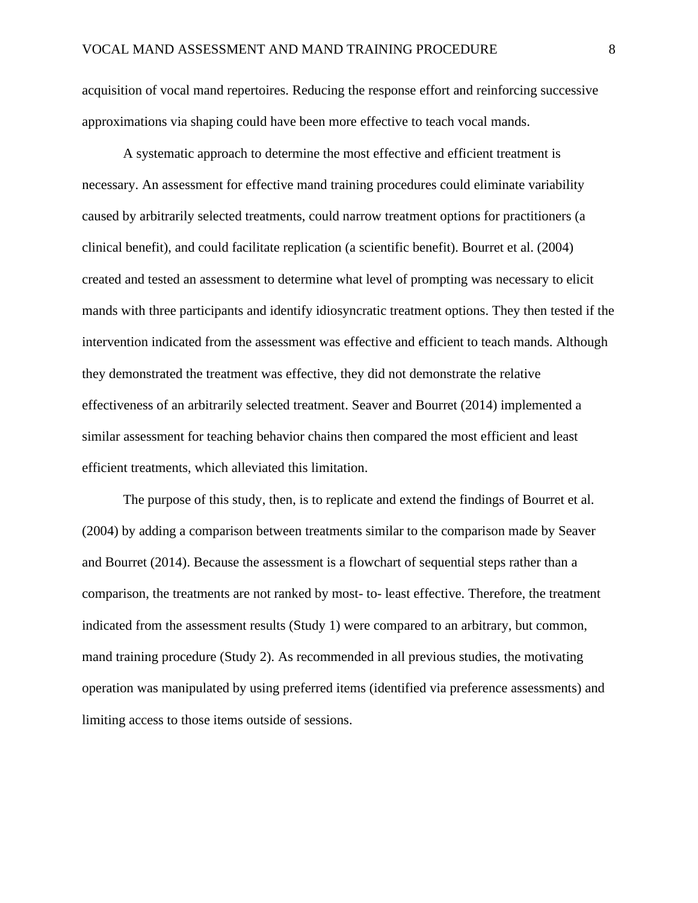acquisition of vocal mand repertoires. Reducing the response effort and reinforcing successive approximations via shaping could have been more effective to teach vocal mands.

A systematic approach to determine the most effective and efficient treatment is necessary. An assessment for effective mand training procedures could eliminate variability caused by arbitrarily selected treatments, could narrow treatment options for practitioners (a clinical benefit), and could facilitate replication (a scientific benefit). Bourret et al. (2004) created and tested an assessment to determine what level of prompting was necessary to elicit mands with three participants and identify idiosyncratic treatment options. They then tested if the intervention indicated from the assessment was effective and efficient to teach mands. Although they demonstrated the treatment was effective, they did not demonstrate the relative effectiveness of an arbitrarily selected treatment. Seaver and Bourret (2014) implemented a similar assessment for teaching behavior chains then compared the most efficient and least efficient treatments, which alleviated this limitation.

The purpose of this study, then, is to replicate and extend the findings of Bourret et al. (2004) by adding a comparison between treatments similar to the comparison made by Seaver and Bourret (2014). Because the assessment is a flowchart of sequential steps rather than a comparison, the treatments are not ranked by most- to- least effective. Therefore, the treatment indicated from the assessment results (Study 1) were compared to an arbitrary, but common, mand training procedure (Study 2). As recommended in all previous studies, the motivating operation was manipulated by using preferred items (identified via preference assessments) and limiting access to those items outside of sessions.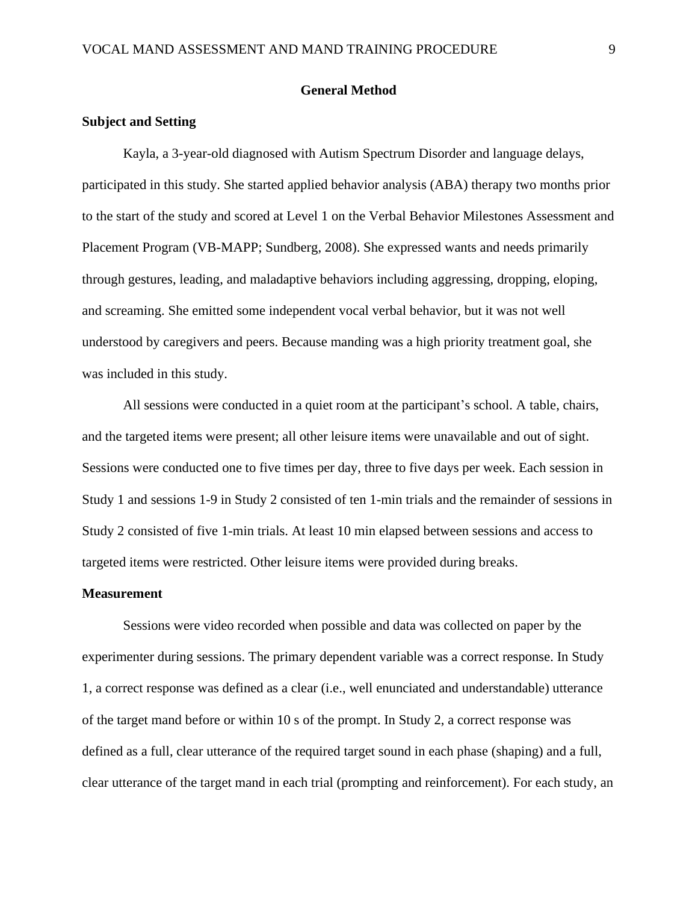#### **General Method**

#### **Subject and Setting**

Kayla, a 3-year-old diagnosed with Autism Spectrum Disorder and language delays, participated in this study. She started applied behavior analysis (ABA) therapy two months prior to the start of the study and scored at Level 1 on the Verbal Behavior Milestones Assessment and Placement Program (VB-MAPP; Sundberg, 2008). She expressed wants and needs primarily through gestures, leading, and maladaptive behaviors including aggressing, dropping, eloping, and screaming. She emitted some independent vocal verbal behavior, but it was not well understood by caregivers and peers. Because manding was a high priority treatment goal, she was included in this study.

All sessions were conducted in a quiet room at the participant's school. A table, chairs, and the targeted items were present; all other leisure items were unavailable and out of sight. Sessions were conducted one to five times per day, three to five days per week. Each session in Study 1 and sessions 1-9 in Study 2 consisted of ten 1-min trials and the remainder of sessions in Study 2 consisted of five 1-min trials. At least 10 min elapsed between sessions and access to targeted items were restricted. Other leisure items were provided during breaks.

#### **Measurement**

Sessions were video recorded when possible and data was collected on paper by the experimenter during sessions. The primary dependent variable was a correct response. In Study 1, a correct response was defined as a clear (i.e., well enunciated and understandable) utterance of the target mand before or within 10 s of the prompt. In Study 2, a correct response was defined as a full, clear utterance of the required target sound in each phase (shaping) and a full, clear utterance of the target mand in each trial (prompting and reinforcement). For each study, an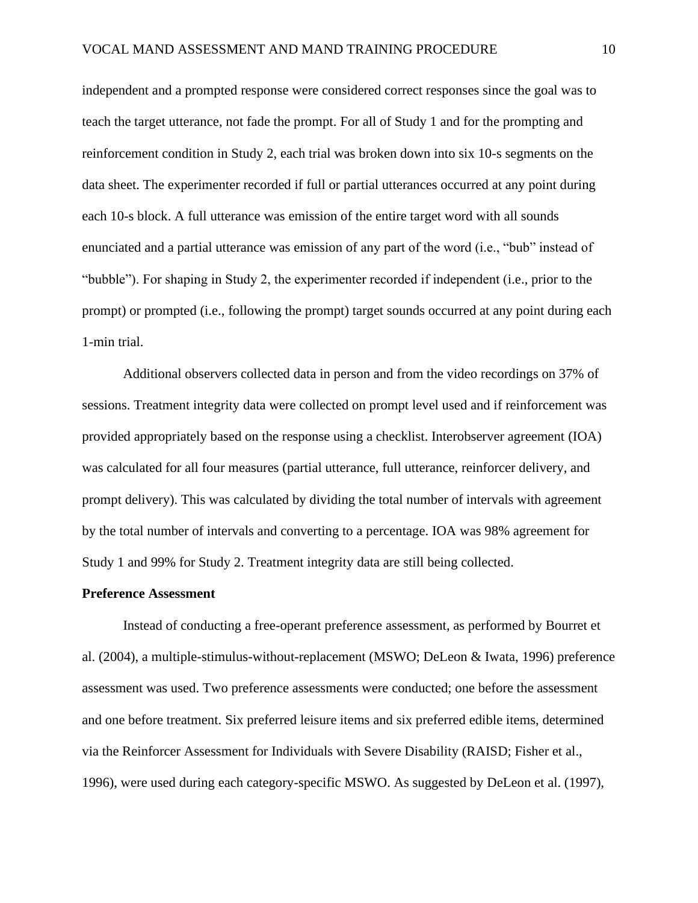independent and a prompted response were considered correct responses since the goal was to teach the target utterance, not fade the prompt. For all of Study 1 and for the prompting and reinforcement condition in Study 2, each trial was broken down into six 10-s segments on the data sheet. The experimenter recorded if full or partial utterances occurred at any point during each 10-s block. A full utterance was emission of the entire target word with all sounds enunciated and a partial utterance was emission of any part of the word (i.e., "bub" instead of "bubble"). For shaping in Study 2, the experimenter recorded if independent (i.e., prior to the prompt) or prompted (i.e., following the prompt) target sounds occurred at any point during each 1-min trial.

Additional observers collected data in person and from the video recordings on 37% of sessions. Treatment integrity data were collected on prompt level used and if reinforcement was provided appropriately based on the response using a checklist. Interobserver agreement (IOA) was calculated for all four measures (partial utterance, full utterance, reinforcer delivery, and prompt delivery). This was calculated by dividing the total number of intervals with agreement by the total number of intervals and converting to a percentage. IOA was 98% agreement for Study 1 and 99% for Study 2. Treatment integrity data are still being collected.

#### **Preference Assessment**

Instead of conducting a free-operant preference assessment, as performed by Bourret et al. (2004), a multiple-stimulus-without-replacement (MSWO; DeLeon & Iwata, 1996) preference assessment was used. Two preference assessments were conducted; one before the assessment and one before treatment. Six preferred leisure items and six preferred edible items, determined via the Reinforcer Assessment for Individuals with Severe Disability (RAISD; Fisher et al., 1996), were used during each category-specific MSWO. As suggested by DeLeon et al. (1997),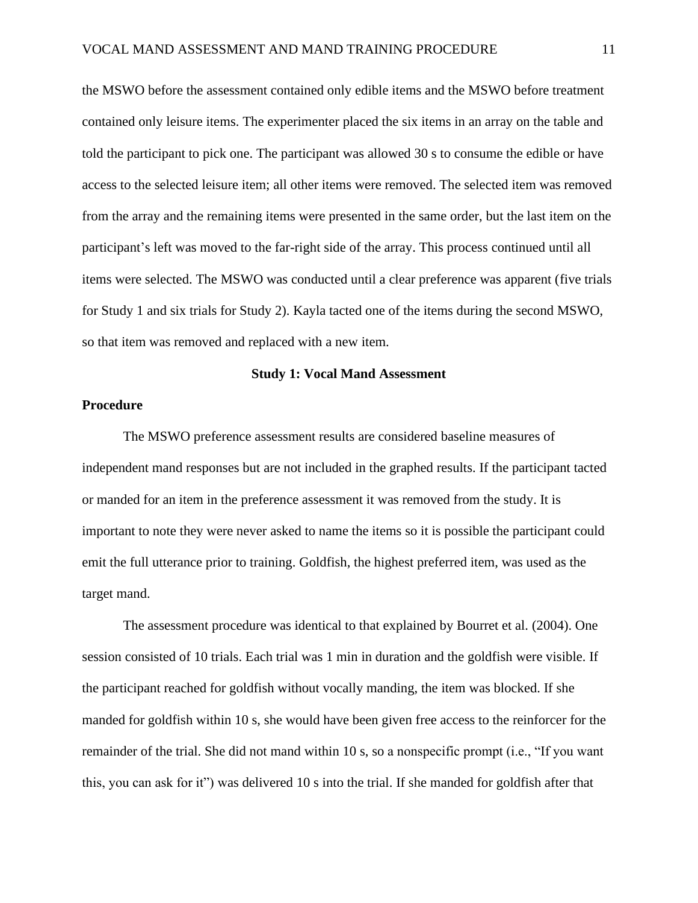the MSWO before the assessment contained only edible items and the MSWO before treatment contained only leisure items. The experimenter placed the six items in an array on the table and told the participant to pick one. The participant was allowed 30 s to consume the edible or have access to the selected leisure item; all other items were removed. The selected item was removed from the array and the remaining items were presented in the same order, but the last item on the participant's left was moved to the far-right side of the array. This process continued until all items were selected. The MSWO was conducted until a clear preference was apparent (five trials for Study 1 and six trials for Study 2). Kayla tacted one of the items during the second MSWO, so that item was removed and replaced with a new item.

#### **Study 1: Vocal Mand Assessment**

#### **Procedure**

The MSWO preference assessment results are considered baseline measures of independent mand responses but are not included in the graphed results. If the participant tacted or manded for an item in the preference assessment it was removed from the study. It is important to note they were never asked to name the items so it is possible the participant could emit the full utterance prior to training. Goldfish, the highest preferred item, was used as the target mand.

The assessment procedure was identical to that explained by Bourret et al. (2004). One session consisted of 10 trials. Each trial was 1 min in duration and the goldfish were visible. If the participant reached for goldfish without vocally manding, the item was blocked. If she manded for goldfish within 10 s, she would have been given free access to the reinforcer for the remainder of the trial. She did not mand within 10 s, so a nonspecific prompt (i.e., "If you want this, you can ask for it") was delivered 10 s into the trial. If she manded for goldfish after that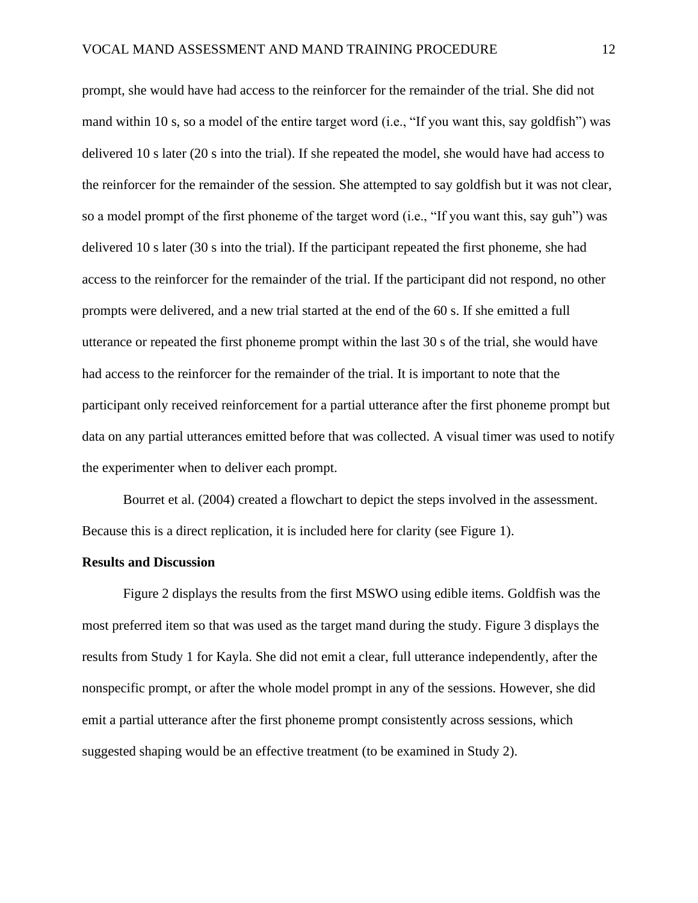prompt, she would have had access to the reinforcer for the remainder of the trial. She did not mand within 10 s, so a model of the entire target word (i.e., "If you want this, say goldfish") was delivered 10 s later (20 s into the trial). If she repeated the model, she would have had access to the reinforcer for the remainder of the session. She attempted to say goldfish but it was not clear, so a model prompt of the first phoneme of the target word (i.e., "If you want this, say guh") was delivered 10 s later (30 s into the trial). If the participant repeated the first phoneme, she had access to the reinforcer for the remainder of the trial. If the participant did not respond, no other prompts were delivered, and a new trial started at the end of the 60 s. If she emitted a full utterance or repeated the first phoneme prompt within the last 30 s of the trial, she would have had access to the reinforcer for the remainder of the trial. It is important to note that the participant only received reinforcement for a partial utterance after the first phoneme prompt but data on any partial utterances emitted before that was collected. A visual timer was used to notify the experimenter when to deliver each prompt.

Bourret et al. (2004) created a flowchart to depict the steps involved in the assessment. Because this is a direct replication, it is included here for clarity (see Figure 1).

#### **Results and Discussion**

Figure 2 displays the results from the first MSWO using edible items. Goldfish was the most preferred item so that was used as the target mand during the study. Figure 3 displays the results from Study 1 for Kayla. She did not emit a clear, full utterance independently, after the nonspecific prompt, or after the whole model prompt in any of the sessions. However, she did emit a partial utterance after the first phoneme prompt consistently across sessions, which suggested shaping would be an effective treatment (to be examined in Study 2).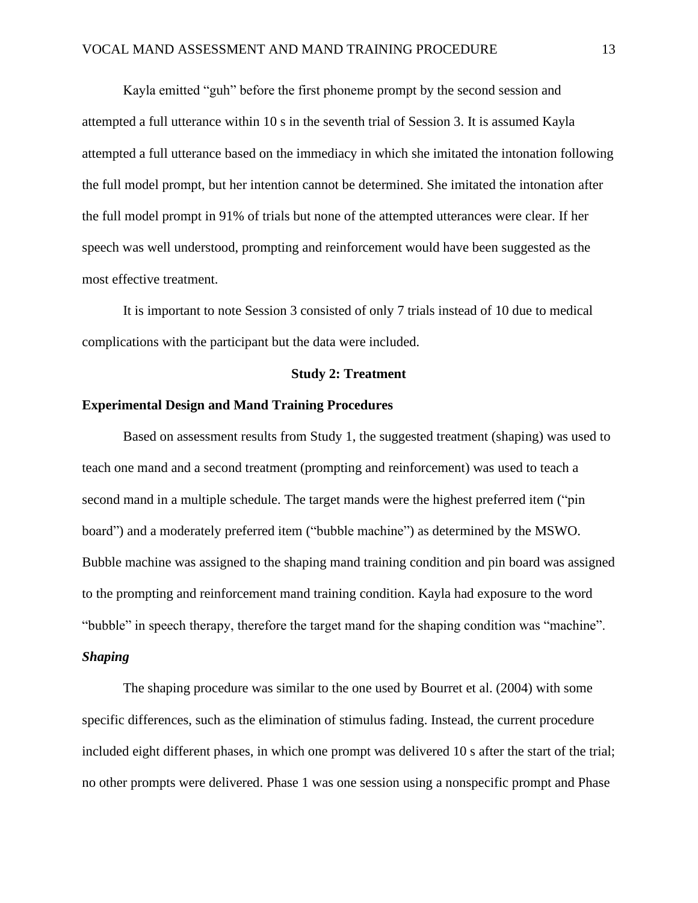Kayla emitted "guh" before the first phoneme prompt by the second session and attempted a full utterance within 10 s in the seventh trial of Session 3. It is assumed Kayla attempted a full utterance based on the immediacy in which she imitated the intonation following the full model prompt, but her intention cannot be determined. She imitated the intonation after the full model prompt in 91% of trials but none of the attempted utterances were clear. If her speech was well understood, prompting and reinforcement would have been suggested as the most effective treatment.

It is important to note Session 3 consisted of only 7 trials instead of 10 due to medical complications with the participant but the data were included.

#### **Study 2: Treatment**

#### **Experimental Design and Mand Training Procedures**

Based on assessment results from Study 1, the suggested treatment (shaping) was used to teach one mand and a second treatment (prompting and reinforcement) was used to teach a second mand in a multiple schedule. The target mands were the highest preferred item ("pin board") and a moderately preferred item ("bubble machine") as determined by the MSWO. Bubble machine was assigned to the shaping mand training condition and pin board was assigned to the prompting and reinforcement mand training condition. Kayla had exposure to the word "bubble" in speech therapy, therefore the target mand for the shaping condition was "machine". *Shaping*

The shaping procedure was similar to the one used by Bourret et al. (2004) with some specific differences, such as the elimination of stimulus fading. Instead, the current procedure included eight different phases, in which one prompt was delivered 10 s after the start of the trial; no other prompts were delivered. Phase 1 was one session using a nonspecific prompt and Phase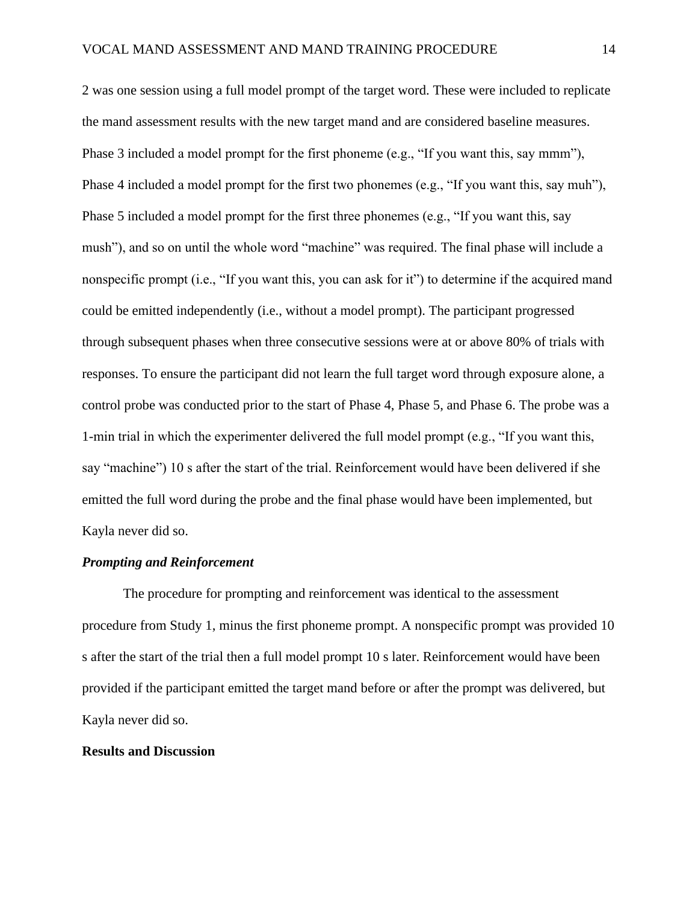2 was one session using a full model prompt of the target word. These were included to replicate the mand assessment results with the new target mand and are considered baseline measures. Phase 3 included a model prompt for the first phoneme (e.g., "If you want this, say mmm"), Phase 4 included a model prompt for the first two phonemes (e.g., "If you want this, say muh"), Phase 5 included a model prompt for the first three phonemes (e.g., "If you want this, say mush"), and so on until the whole word "machine" was required. The final phase will include a nonspecific prompt (i.e., "If you want this, you can ask for it") to determine if the acquired mand could be emitted independently (i.e., without a model prompt). The participant progressed through subsequent phases when three consecutive sessions were at or above 80% of trials with responses. To ensure the participant did not learn the full target word through exposure alone, a control probe was conducted prior to the start of Phase 4, Phase 5, and Phase 6. The probe was a 1-min trial in which the experimenter delivered the full model prompt (e.g., "If you want this, say "machine") 10 s after the start of the trial. Reinforcement would have been delivered if she emitted the full word during the probe and the final phase would have been implemented, but Kayla never did so.

#### *Prompting and Reinforcement*

The procedure for prompting and reinforcement was identical to the assessment procedure from Study 1, minus the first phoneme prompt. A nonspecific prompt was provided 10 s after the start of the trial then a full model prompt 10 s later. Reinforcement would have been provided if the participant emitted the target mand before or after the prompt was delivered, but Kayla never did so.

#### **Results and Discussion**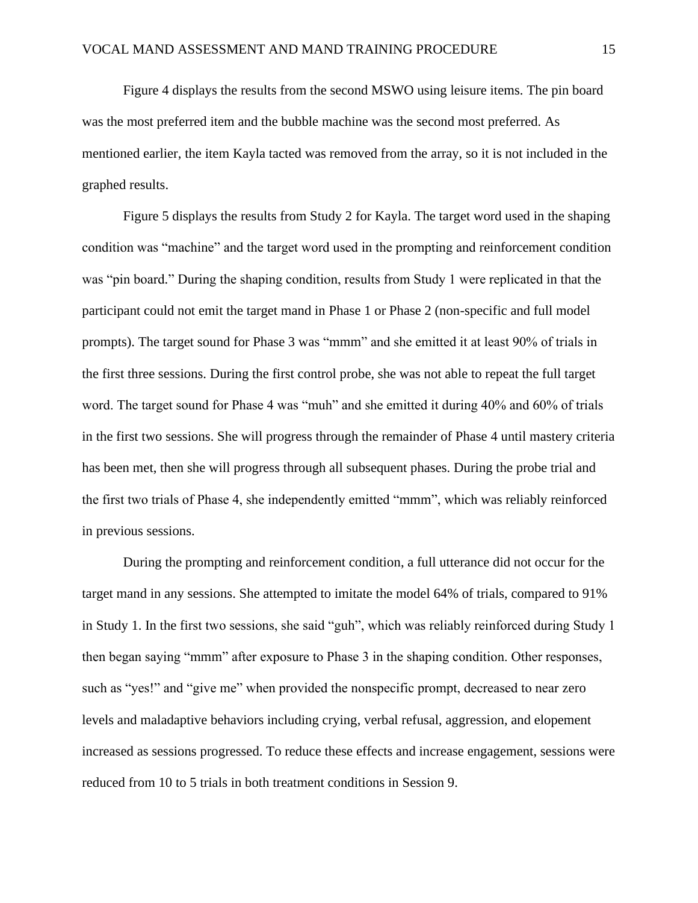Figure 4 displays the results from the second MSWO using leisure items. The pin board was the most preferred item and the bubble machine was the second most preferred. As mentioned earlier, the item Kayla tacted was removed from the array, so it is not included in the graphed results.

Figure 5 displays the results from Study 2 for Kayla. The target word used in the shaping condition was "machine" and the target word used in the prompting and reinforcement condition was "pin board." During the shaping condition, results from Study 1 were replicated in that the participant could not emit the target mand in Phase 1 or Phase 2 (non-specific and full model prompts). The target sound for Phase 3 was "mmm" and she emitted it at least 90% of trials in the first three sessions. During the first control probe, she was not able to repeat the full target word. The target sound for Phase 4 was "muh" and she emitted it during 40% and 60% of trials in the first two sessions. She will progress through the remainder of Phase 4 until mastery criteria has been met, then she will progress through all subsequent phases. During the probe trial and the first two trials of Phase 4, she independently emitted "mmm", which was reliably reinforced in previous sessions.

During the prompting and reinforcement condition, a full utterance did not occur for the target mand in any sessions. She attempted to imitate the model 64% of trials, compared to 91% in Study 1. In the first two sessions, she said "guh", which was reliably reinforced during Study 1 then began saying "mmm" after exposure to Phase 3 in the shaping condition. Other responses, such as "yes!" and "give me" when provided the nonspecific prompt, decreased to near zero levels and maladaptive behaviors including crying, verbal refusal, aggression, and elopement increased as sessions progressed. To reduce these effects and increase engagement, sessions were reduced from 10 to 5 trials in both treatment conditions in Session 9.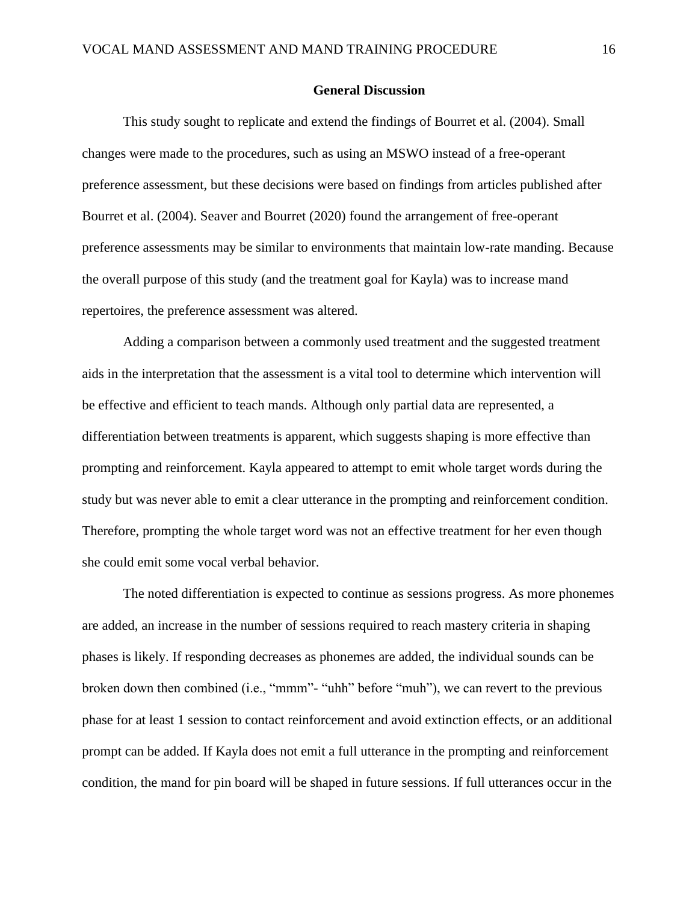#### **General Discussion**

This study sought to replicate and extend the findings of Bourret et al. (2004). Small changes were made to the procedures, such as using an MSWO instead of a free-operant preference assessment, but these decisions were based on findings from articles published after Bourret et al. (2004). Seaver and Bourret (2020) found the arrangement of free-operant preference assessments may be similar to environments that maintain low-rate manding. Because the overall purpose of this study (and the treatment goal for Kayla) was to increase mand repertoires, the preference assessment was altered.

Adding a comparison between a commonly used treatment and the suggested treatment aids in the interpretation that the assessment is a vital tool to determine which intervention will be effective and efficient to teach mands. Although only partial data are represented, a differentiation between treatments is apparent, which suggests shaping is more effective than prompting and reinforcement. Kayla appeared to attempt to emit whole target words during the study but was never able to emit a clear utterance in the prompting and reinforcement condition. Therefore, prompting the whole target word was not an effective treatment for her even though she could emit some vocal verbal behavior.

The noted differentiation is expected to continue as sessions progress. As more phonemes are added, an increase in the number of sessions required to reach mastery criteria in shaping phases is likely. If responding decreases as phonemes are added, the individual sounds can be broken down then combined (i.e., "mmm"- "uhh" before "muh"), we can revert to the previous phase for at least 1 session to contact reinforcement and avoid extinction effects, or an additional prompt can be added. If Kayla does not emit a full utterance in the prompting and reinforcement condition, the mand for pin board will be shaped in future sessions. If full utterances occur in the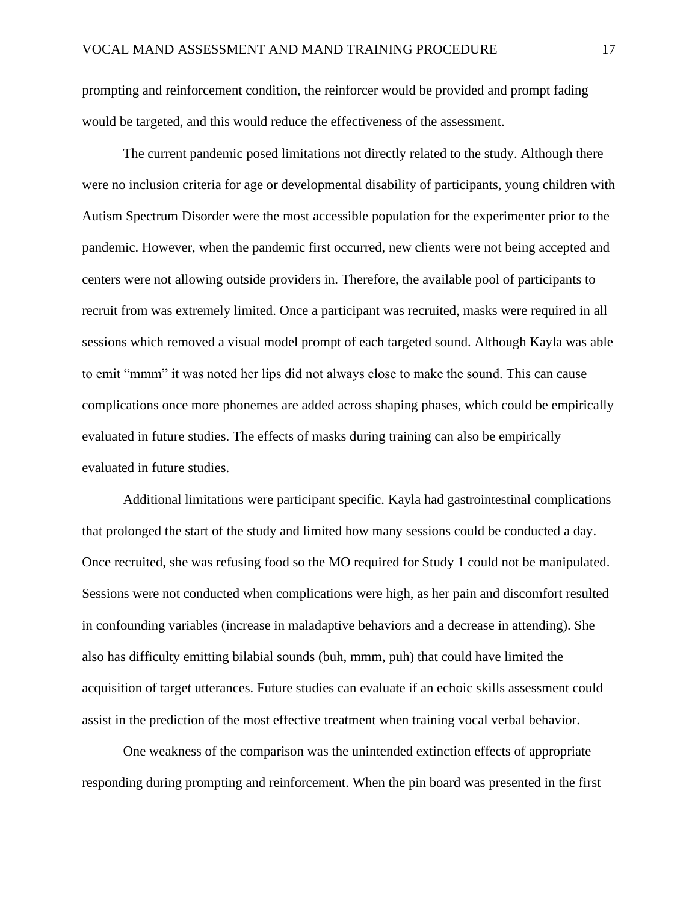prompting and reinforcement condition, the reinforcer would be provided and prompt fading would be targeted, and this would reduce the effectiveness of the assessment.

The current pandemic posed limitations not directly related to the study. Although there were no inclusion criteria for age or developmental disability of participants, young children with Autism Spectrum Disorder were the most accessible population for the experimenter prior to the pandemic. However, when the pandemic first occurred, new clients were not being accepted and centers were not allowing outside providers in. Therefore, the available pool of participants to recruit from was extremely limited. Once a participant was recruited, masks were required in all sessions which removed a visual model prompt of each targeted sound. Although Kayla was able to emit "mmm" it was noted her lips did not always close to make the sound. This can cause complications once more phonemes are added across shaping phases, which could be empirically evaluated in future studies. The effects of masks during training can also be empirically evaluated in future studies.

Additional limitations were participant specific. Kayla had gastrointestinal complications that prolonged the start of the study and limited how many sessions could be conducted a day. Once recruited, she was refusing food so the MO required for Study 1 could not be manipulated. Sessions were not conducted when complications were high, as her pain and discomfort resulted in confounding variables (increase in maladaptive behaviors and a decrease in attending). She also has difficulty emitting bilabial sounds (buh, mmm, puh) that could have limited the acquisition of target utterances. Future studies can evaluate if an echoic skills assessment could assist in the prediction of the most effective treatment when training vocal verbal behavior.

One weakness of the comparison was the unintended extinction effects of appropriate responding during prompting and reinforcement. When the pin board was presented in the first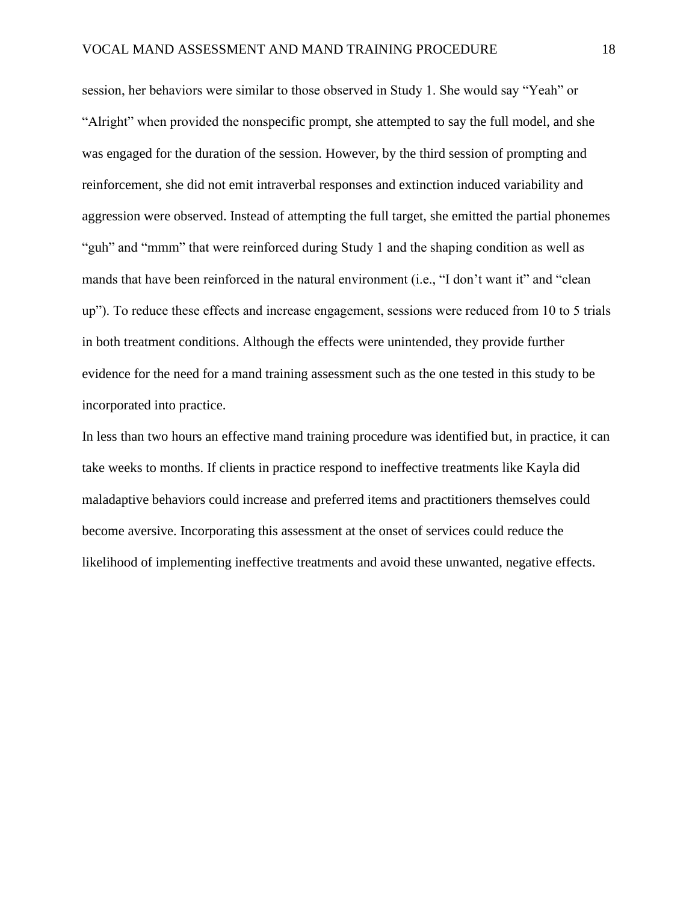session, her behaviors were similar to those observed in Study 1. She would say "Yeah" or "Alright" when provided the nonspecific prompt, she attempted to say the full model, and she was engaged for the duration of the session. However, by the third session of prompting and reinforcement, she did not emit intraverbal responses and extinction induced variability and aggression were observed. Instead of attempting the full target, she emitted the partial phonemes "guh" and "mmm" that were reinforced during Study 1 and the shaping condition as well as mands that have been reinforced in the natural environment (i.e., "I don't want it" and "clean up"). To reduce these effects and increase engagement, sessions were reduced from 10 to 5 trials in both treatment conditions. Although the effects were unintended, they provide further evidence for the need for a mand training assessment such as the one tested in this study to be incorporated into practice.

In less than two hours an effective mand training procedure was identified but, in practice, it can take weeks to months. If clients in practice respond to ineffective treatments like Kayla did maladaptive behaviors could increase and preferred items and practitioners themselves could become aversive. Incorporating this assessment at the onset of services could reduce the likelihood of implementing ineffective treatments and avoid these unwanted, negative effects.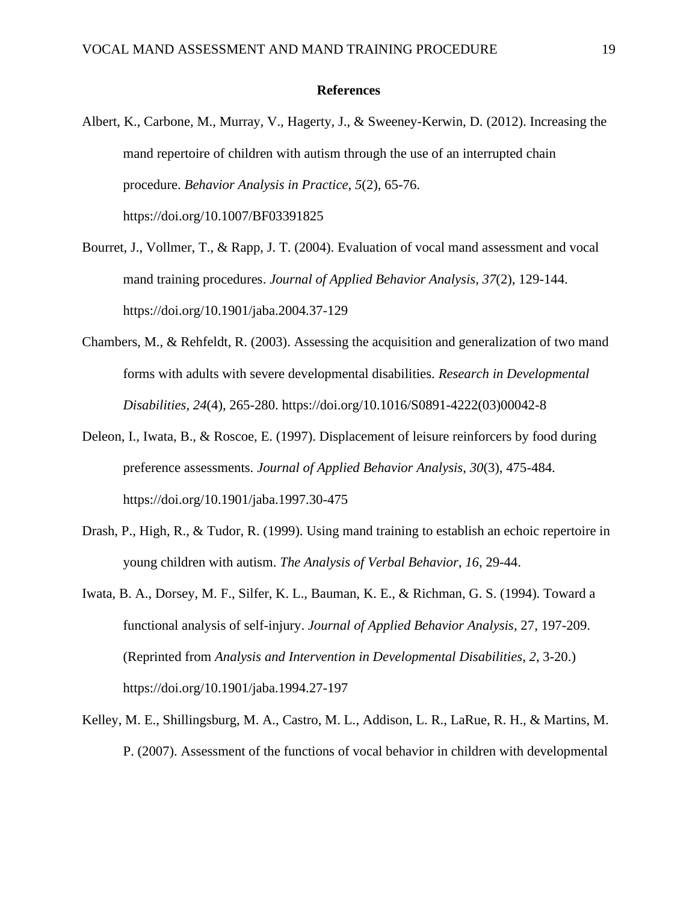#### **References**

- Albert, K., Carbone, M., Murray, V., Hagerty, J., & Sweeney-Kerwin, D. (2012). Increasing the mand repertoire of children with autism through the use of an interrupted chain procedure. *Behavior Analysis in Practice*, *5*(2), 65-76. https://doi.org/10.1007/BF03391825
- Bourret, J., Vollmer, T., & Rapp, J. T. (2004). Evaluation of vocal mand assessment and vocal mand training procedures. *Journal of Applied Behavior Analysis*, *37*(2), 129-144. https://doi.org/10.1901/jaba.2004.37-129
- Chambers, M., & Rehfeldt, R. (2003). Assessing the acquisition and generalization of two mand forms with adults with severe developmental disabilities. *Research in Developmental Disabilities*, *24*(4), 265-280. https://doi.org/10.1016/S0891-4222(03)00042-8
- Deleon, I., Iwata, B., & Roscoe, E. (1997). Displacement of leisure reinforcers by food during preference assessments. *Journal of Applied Behavior Analysis*, *30*(3), 475-484. https://doi.org/10.1901/jaba.1997.30-475
- Drash, P., High, R., & Tudor, R. (1999). Using mand training to establish an echoic repertoire in young children with autism. *The Analysis of Verbal Behavior*, *16*, 29-44.
- Iwata, B. A., Dorsey, M. F., Silfer, K. L., Bauman, K. E., & Richman, G. S. (1994). Toward a functional analysis of self-injury. *Journal of Applied Behavior Analysis*, 27, 197-209. (Reprinted from *Analysis and Intervention in Developmental Disabilities*, *2*, 3-20.) https://doi.org/10.1901/jaba.1994.27-197
- Kelley, M. E., Shillingsburg, M. A., Castro, M. L., Addison, L. R., LaRue, R. H., & Martins, M. P. (2007). Assessment of the functions of vocal behavior in children with developmental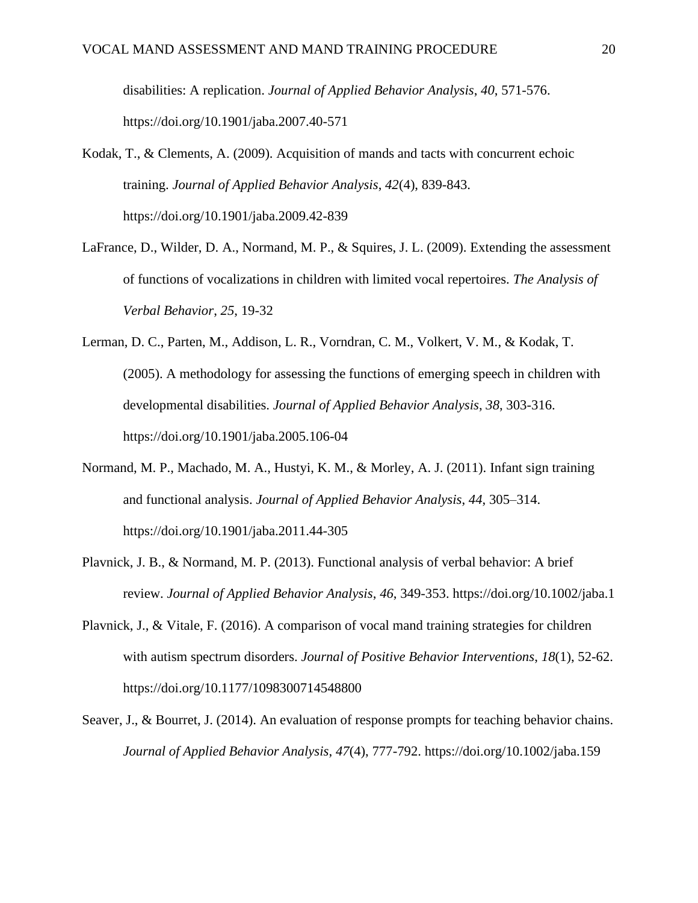disabilities: A replication. *Journal of Applied Behavior Analysis*, *40*, 571-576. https://doi.org/10.1901/jaba.2007.40-571

- Kodak, T., & Clements, A. (2009). Acquisition of mands and tacts with concurrent echoic training. *Journal of Applied Behavior Analysis*, *42*(4), 839-843. https://doi.org/10.1901/jaba.2009.42-839
- LaFrance, D., Wilder, D. A., Normand, M. P., & Squires, J. L. (2009). Extending the assessment of functions of vocalizations in children with limited vocal repertoires. *The Analysis of Verbal Behavior*, *25*, 19-32
- Lerman, D. C., Parten, M., Addison, L. R., Vorndran, C. M., Volkert, V. M., & Kodak, T. (2005). A methodology for assessing the functions of emerging speech in children with developmental disabilities. *Journal of Applied Behavior Analysis*, *38*, 303-316. https://doi.org/10.1901/jaba.2005.106-04
- Normand, M. P., Machado, M. A., Hustyi, K. M., & Morley, A. J. (2011). Infant sign training and functional analysis. *Journal of Applied Behavior Analysis*, *44*, 305–314. https://doi.org/10.1901/jaba.2011.44-305
- Plavnick, J. B., & Normand, M. P. (2013). Functional analysis of verbal behavior: A brief review. *Journal of Applied Behavior Analysis*, *46*, 349-353. https://doi.org/10.1002/jaba.1
- Plavnick, J., & Vitale, F. (2016). A comparison of vocal mand training strategies for children with autism spectrum disorders. *Journal of Positive Behavior Interventions*, *18*(1), 52-62. https://doi.org/10.1177/1098300714548800
- Seaver, J., & Bourret, J. (2014). An evaluation of response prompts for teaching behavior chains. *Journal of Applied Behavior Analysis*, *47*(4), 777-792. https://doi.org/10.1002/jaba.159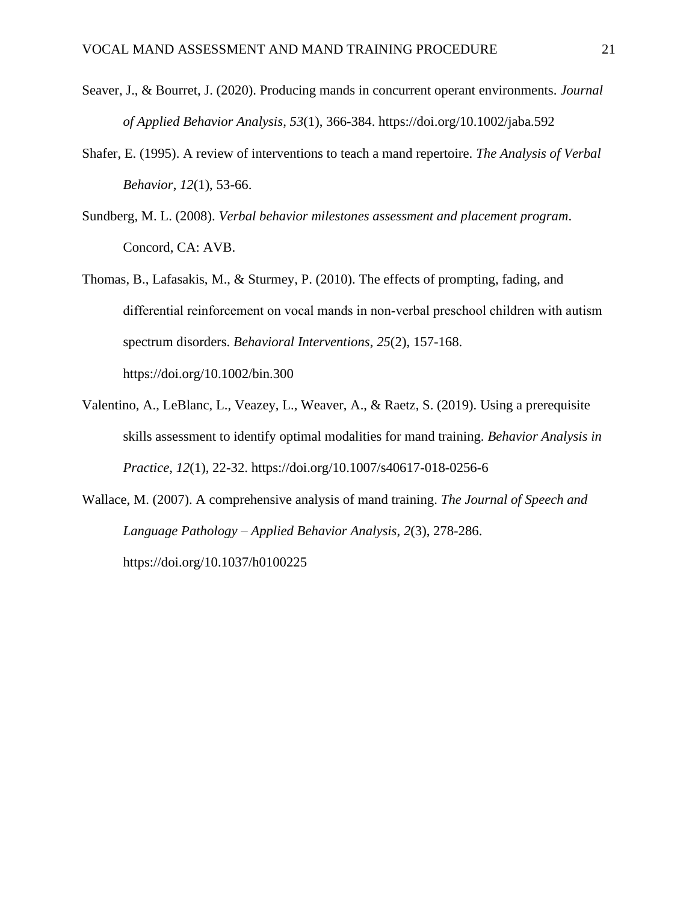- Seaver, J., & Bourret, J. (2020). Producing mands in concurrent operant environments. *Journal of Applied Behavior Analysis*, *53*(1), 366-384. https://doi.org/10.1002/jaba.592
- Shafer, E. (1995). A review of interventions to teach a mand repertoire. *The Analysis of Verbal Behavior*, *12*(1), 53-66.
- Sundberg, M. L. (2008). *Verbal behavior milestones assessment and placement program*. Concord, CA: AVB.
- Thomas, B., Lafasakis, M., & Sturmey, P. (2010). The effects of prompting, fading, and differential reinforcement on vocal mands in non‐verbal preschool children with autism spectrum disorders. *Behavioral Interventions*, *25*(2), 157-168. https://doi.org/10.1002/bin.300
- Valentino, A., LeBlanc, L., Veazey, L., Weaver, A., & Raetz, S. (2019). Using a prerequisite skills assessment to identify optimal modalities for mand training. *Behavior Analysis in Practice*, *12*(1), 22-32. https://doi.org/10.1007/s40617-018-0256-6
- Wallace, M. (2007). A comprehensive analysis of mand training. *The Journal of Speech and Language Pathology – Applied Behavior Analysis*, *2*(3), 278-286. https://doi.org/10.1037/h0100225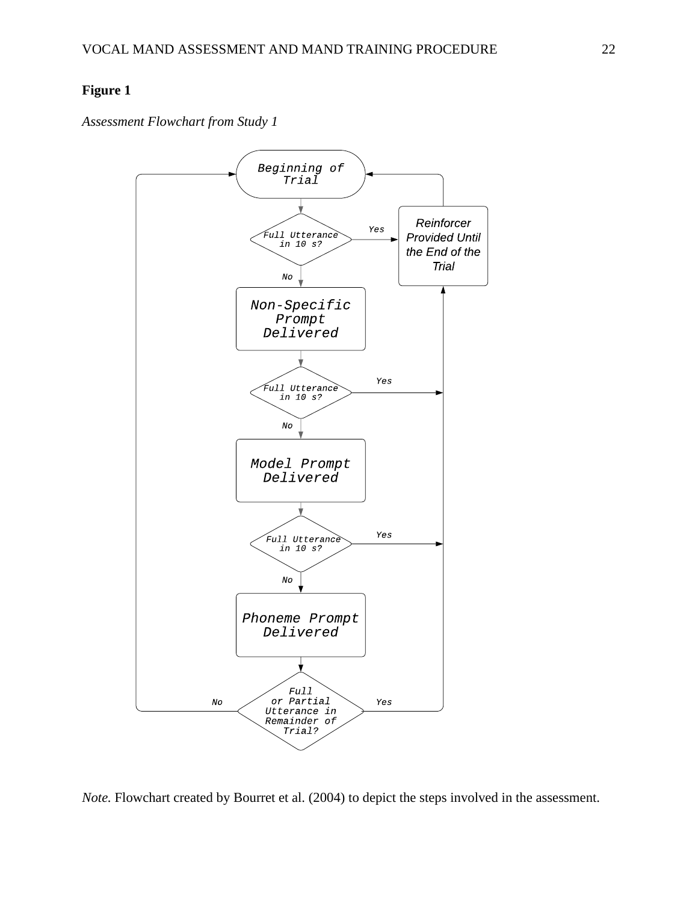*Assessment Flowchart from Study 1*



*Note.* Flowchart created by Bourret et al. (2004) to depict the steps involved in the assessment.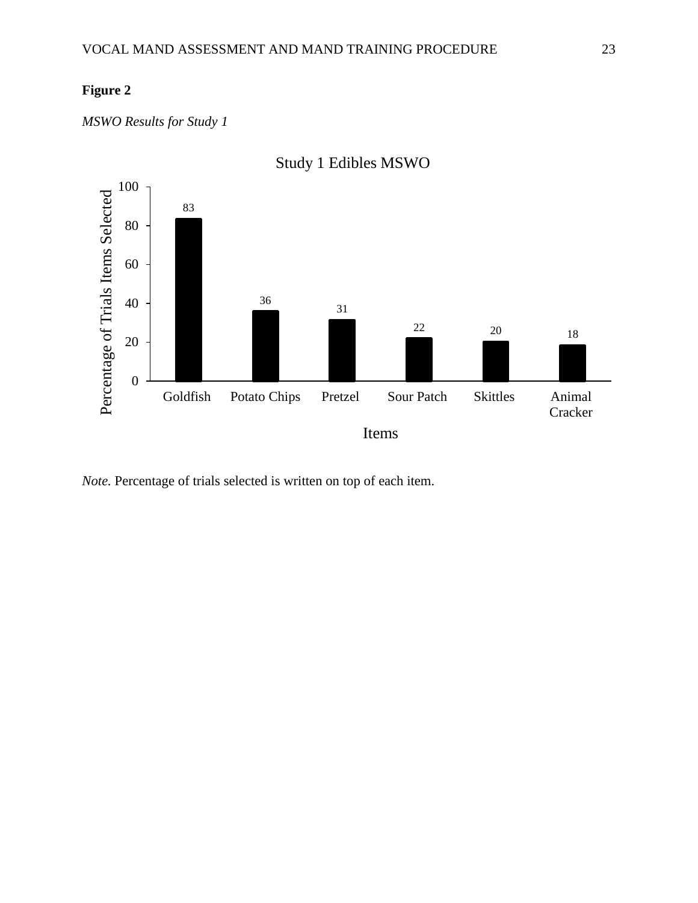*MSWO Results for Study 1* 



Study 1 Edibles MSWO

*Note.* Percentage of trials selected is written on top of each item.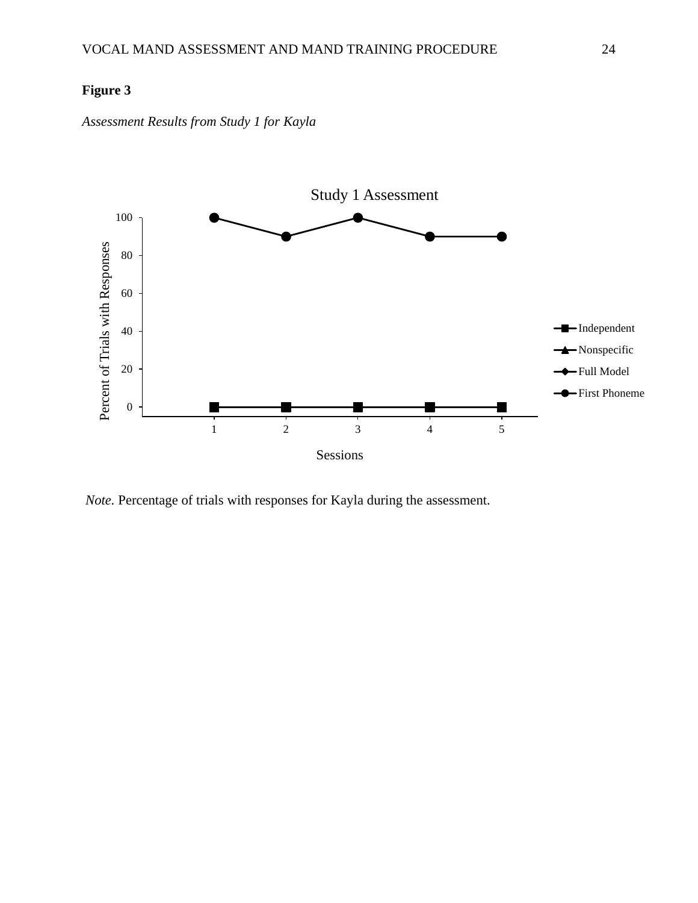*Assessment Results from Study 1 for Kayla*



*Note.* Percentage of trials with responses for Kayla during the assessment.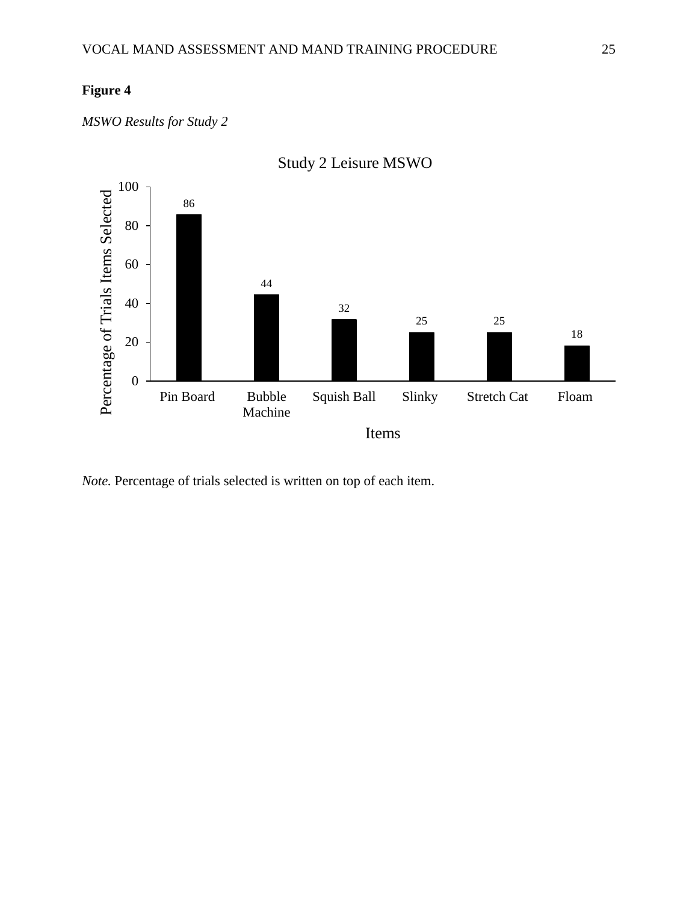*MSWO Results for Study 2* 



*Note.* Percentage of trials selected is written on top of each item.